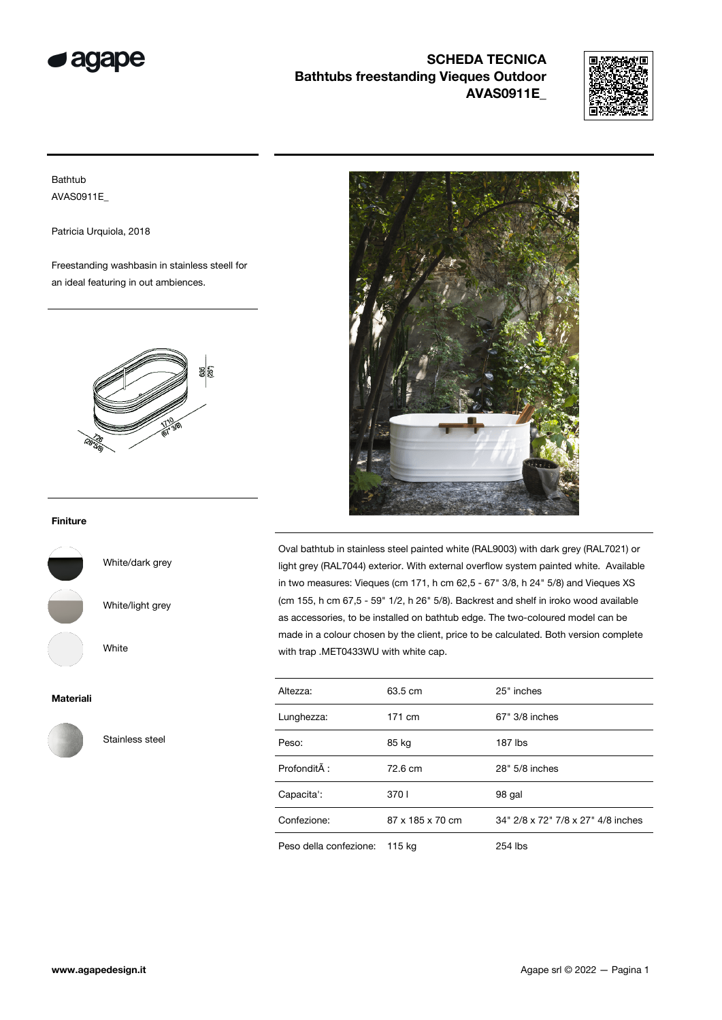

## SCHEDA TECNICA Bathtubs freestanding Vieques Outdoor AVAS0911E\_



Bathtub AVAS0911E\_

Patricia Urquiola, 2018

Freestanding washbasin in stainless steell for an ideal featuring in out ambiences.



## Finiture



Materiali



Stainless steel

White/dark grey

White/light grey

White



Oval bathtub in stainless steel painted white (RAL9003) with dark grey (RAL7021) or light grey (RAL7044) exterior. With external overflow system painted white. Available in two measures: Vieques (cm 171, h cm 62,5 - 67" 3/8, h 24" 5/8) and Vieques XS (cm 155, h cm 67,5 - 59" 1/2, h 26" 5/8). Backrest and shelf in iroko wood available as accessories, to be installed on bathtub edge. The two-coloured model can be made in a colour chosen by the client, price to be calculated. Both version complete with trap .MET0433WU with white cap.

| Altezza:               | 63.5 cm          | 25" inches                         |
|------------------------|------------------|------------------------------------|
| Lunghezza:             | 171 cm           | 67" 3/8 inches                     |
| Peso:                  | 85 kg            | 187 lbs                            |
| Profondità :           | 72.6 cm          | 28" 5/8 inches                     |
| Capacita':             | 3701             | 98 gal                             |
| Confezione:            | 87 x 185 x 70 cm | 34" 2/8 x 72" 7/8 x 27" 4/8 inches |
| Peso della confezione: | 115 kg           | 254 lbs                            |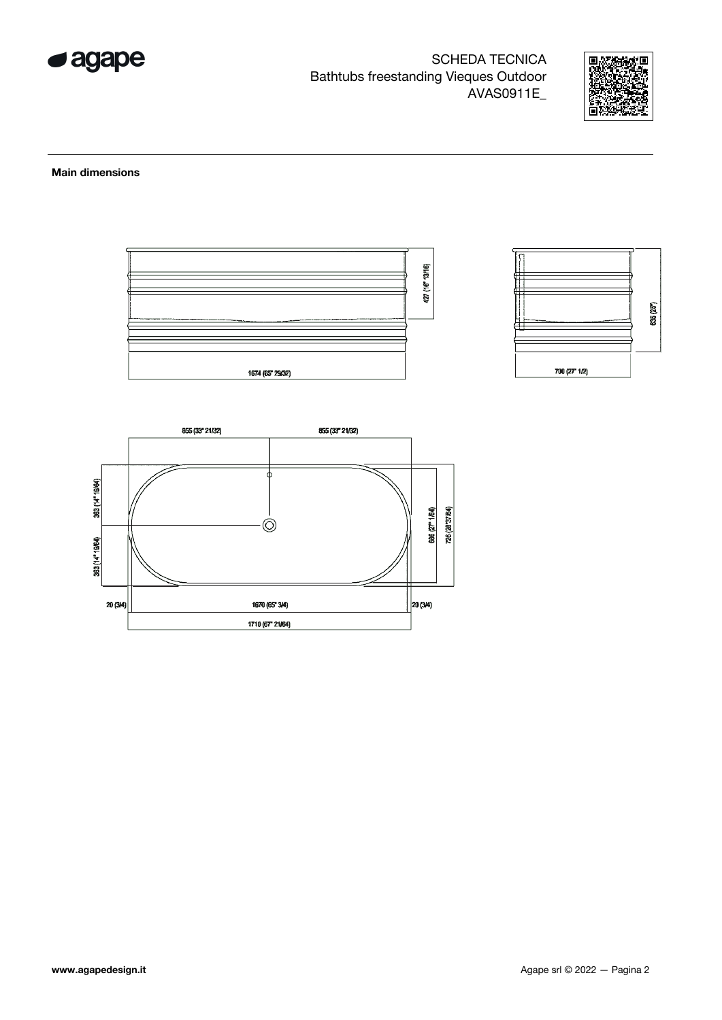

**SCHEDA TECNICA Bathtubs freestanding Vieques Outdoor** AVAS0911E\_



## **Main dimensions**